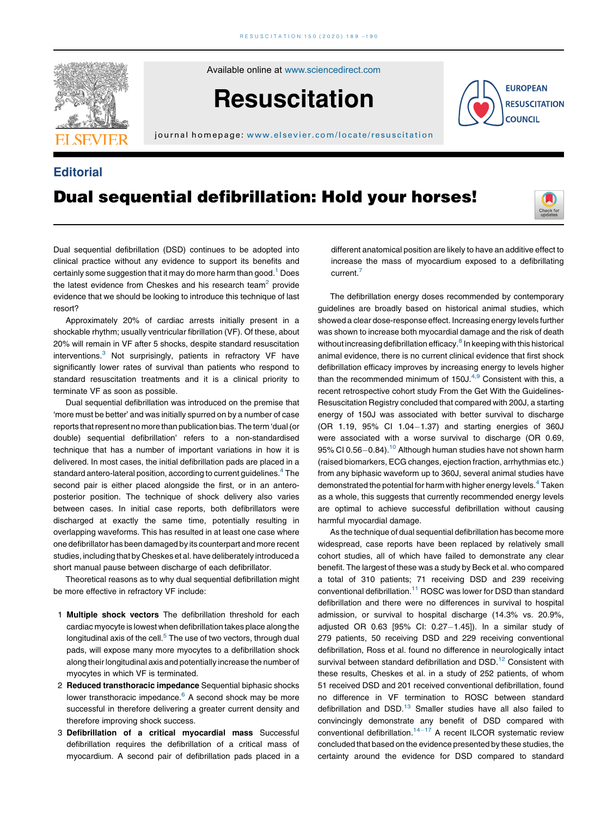

Available online at [www.sciencedirect.com](http://www.sciencedirect.com/science/journal/03009572)

# **Resuscitation**

j ournal home page: [www.elsevier.com/locate/resus](www.elsevier.com/locate/resuscitation) citation

## **Editorial**

## Dual sequential defibrillation: Hold your horses!



**EUROPEAN RESUSCITATION COUNCIL** 

Dual sequential defibrillation (DSD) continues to be adopted into clinical practice without any evidence to support its benefits and certainly some suggestion that it may do more harm than good.<sup>1</sup> Does the latest evidence from Cheskes and his research team<sup>2</sup> provide evidence that we should be looking to introduce this technique of last resort?

Approximately 20% of cardiac arrests initially present in a shockable rhythm; usually ventricular fibrillation (VF). Of these, about 20% will remain in VF after 5 shocks, despite standard resuscitation interventions.<sup>3</sup> Not surprisingly, patients in refractory VF have significantly lower rates of survival than patients who respond to standard resuscitation treatments and it is a clinical priority to terminate VF as soon as possible.

Dual sequential defibrillation was introduced on the premise that 'more must be better' and was initially spurred on by a number of case reports that represent no more than publication bias. The term 'dual (or double) sequential defibrillation' refers to a non-standardised technique that has a number of important variations in how it is delivered. In most cases, the initial defibrillation pads are placed in a standard antero-lateral position, according to current guidelines.<sup>[4](#page-1-0)</sup> The second pair is either placed alongside the first, or in an anteroposterior position. The technique of shock delivery also varies between cases. In initial case reports, both defibrillators were discharged at exactly the same time, potentially resulting in overlapping waveforms. This has resulted in at least one case where one defibrillator has been damaged by its counterpart and more recent studies, including that by Cheskes et al. have deliberately introduced a short manual pause between discharge of each defibrillator.

Theoretical reasons as to why dual sequential defibrillation might be more effective in refractory VF include:

- 1 Multiple shock vectors The defibrillation threshold for each cardiac myocyte is lowest when defibrillation takes place along the longitudinal axis of the cell. $<sup>5</sup>$  $<sup>5</sup>$  $<sup>5</sup>$  The use of two vectors, through dual</sup> pads, will expose many more myocytes to a defibrillation shock along their longitudinal axis and potentially increase the number of myocytes in which VF is terminated.
- 2 Reduced transthoracic impedance Sequential biphasic shocks lower transthoracic impedance.<sup>6</sup> A second shock may be more successful in therefore delivering a greater current density and therefore improving shock success.
- 3 Defibrillation of a critical myocardial mass Successful defibrillation requires the defibrillation of a critical mass of myocardium. A second pair of defibrillation pads placed in a

different anatomical position are likely to have an additive effect to increase the mass of myocardium exposed to a defibrillating current.<sup>[7](#page-1-0)</sup>

The defibrillation energy doses recommended by contemporary guidelines are broadly based on historical animal studies, which showed a clear dose-response effect. Increasing energy levels further was shown to increase both myocardial damage and the risk of death without increasing defibrillation efficacy.<sup>[8](#page-1-0)</sup> In keeping with this historical animal evidence, there is no current clinical evidence that first shock defibrillation efficacy improves by increasing energy to levels higher than the recommended minimum of  $150J^{4,9}$  [Consistent](#page-1-0) with this, a recent retrospective cohort study From the Get With the Guidelines-Resuscitation Registry concluded that compared with 200J, a starting energy of 150J was associated with better survival to discharge (OR 1.19,  $95\%$  Cl 1.04 $-1.37$ ) and starting energies of 360J were associated with a worse survival to discharge (OR 0.69, 95% CI 0.56 $-0.84$ ).<sup>10</sup> Although human studies have not shown harm (raised biomarkers, ECG changes, ejection fraction, arrhythmias etc.) from any biphasic waveform up to 360J, several animal studies have demonstrated the potential for harm with higher energy levels.<sup>[4](#page-1-0)</sup> Taken as a whole, this suggests that currently recommended energy levels are optimal to achieve successful defibrillation without causing harmful myocardial damage.

As the technique of dual sequential defibrillation has become more widespread, case reports have been replaced by relatively small cohort studies, all of which have failed to demonstrate any clear benefit. The largest of these was a study by Beck et al. who compared a total of 310 patients; 71 receiving DSD and 239 receiving conventional defibrillation[.11](#page-1-0) ROSC was lower for DSD than standard defibrillation and there were no differences in survival to hospital admission, or survival to hospital discharge (14.3% vs. 20.9%, adjusted OR  $0.63$  [95% CI:  $0.27-1.45$ ]). In a similar study of 279 patients, 50 receiving DSD and 229 receiving conventional defibrillation, Ross et al. found no difference in neurologically intact survival between standard defibrillation and DSD.<sup>[12](#page-1-0)</sup> Consistent with these results, Cheskes et al. in a study of 252 patients, of whom 51 received DSD and 201 received conventional defibrillation, found no difference in VF termination to ROSC between standard defibrillation and DSD.<sup>[13](#page-1-0)</sup> Smaller studies have all also failed to convincingly demonstrate any benefit of DSD compared with conventional defibrillation.<sup>14-17</sup> A recent ILCOR [systematic](#page-1-0) review concluded that based on the evidence presented by these studies, the certainty around the evidence for DSD compared to standard